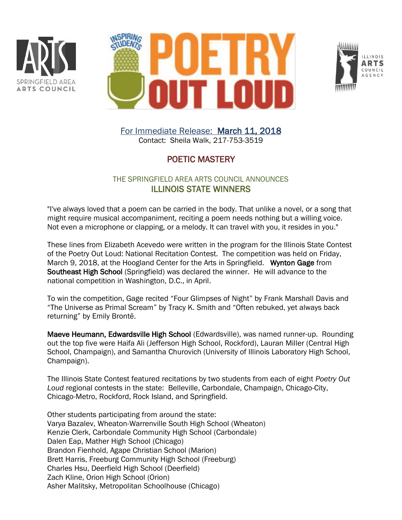





For Immediate Release: March 11, 2018 Contact: Sheila Walk, 217-753-3519

## POETIC MASTERY

## THE SPRINGFIELD AREA ARTS COUNCIL ANNOUNCES ILLINOIS STATE WINNERS

"I've always loved that a poem can be carried in the body. That unlike a novel, or a song that might require musical accompaniment, reciting a poem needs nothing but a willing voice. Not even a microphone or clapping, or a melody. It can travel with you, it resides in you."

These lines from Elizabeth Acevedo were written in the program for the Illinois State Contest of the Poetry Out Loud: National Recitation Contest. The competition was held on Friday, March 9, 2018, at the Hoogland Center for the Arts in Springfield. Wynton Gage from Southeast High School (Springfield) was declared the winner. He will advance to the national competition in Washington, D.C., in April.

To win the competition, Gage recited "Four Glimpses of Night" by Frank Marshall Davis and "The Universe as Primal Scream" by Tracy K. Smith and "Often rebuked, yet always back returning" by Emily Brontë.

Maeve Heumann, Edwardsville High School (Edwardsville), was named runner-up. Rounding out the top five were Haifa Ali (Jefferson High School, Rockford), Lauran Miller (Central High School, Champaign), and Samantha Churovich (University of Illinois Laboratory High School, Champaign).

The Illinois State Contest featured recitations by two students from each of eight *Poetry Out Loud* regional contests in the state: Belleville, Carbondale, Champaign, Chicago-City, Chicago-Metro, Rockford, Rock Island, and Springfield.

Other students participating from around the state: Varya Bazalev, Wheaton-Warrenville South High School (Wheaton) Kenzie Clerk, Carbondale Community High School (Carbondale) Dalen Eap, Mather High School (Chicago) Brandon Fienhold, Agape Christian School (Marion) Brett Harris, Freeburg Community High School (Freeburg) Charles Hsu, Deerfield High School (Deerfield) Zach Kline, Orion High School (Orion) Asher Malitsky, Metropolitan Schoolhouse (Chicago)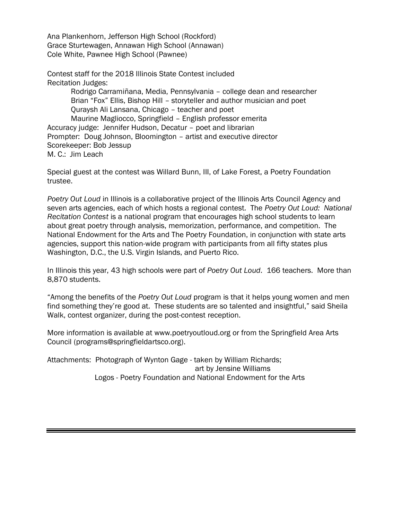Ana Plankenhorn, Jefferson High School (Rockford) Grace Sturtewagen, Annawan High School (Annawan) Cole White, Pawnee High School (Pawnee)

Contest staff for the 2018 Illinois State Contest included Recitation Judges: Rodrigo Carramiñana, Media, Pennsylvania – college dean and researcher Brian "Fox" Ellis, Bishop Hill – storyteller and author musician and poet Quraysh Ali Lansana, Chicago – teacher and poet Maurine Magliocco, Springfield – English professor emerita Accuracy judge: Jennifer Hudson, Decatur – poet and librarian Prompter: Doug Johnson, Bloomington – artist and executive director Scorekeeper: Bob Jessup M. C.: Jim Leach

Special guest at the contest was Willard Bunn, III, of Lake Forest, a Poetry Foundation trustee.

*Poetry Out Loud* in Illinois is a collaborative project of the Illinois Arts Council Agency and seven arts agencies, each of which hosts a regional contest. The *Poetry Out Loud: National Recitation Contest* is a national program that encourages high school students to learn about great poetry through analysis, memorization, performance, and competition. The National Endowment for the Arts and The Poetry Foundation, in conjunction with state arts agencies, support this nation-wide program with participants from all fifty states plus Washington, D.C., the U.S. Virgin Islands, and Puerto Rico.

In Illinois this year, 43 high schools were part of *Poetry Out Loud*. 166 teachers. More than 8,870 students.

"Among the benefits of the *Poetry Out Loud* program is that it helps young women and men find something they're good at. These students are so talented and insightful," said Sheila Walk, contest organizer, during the post-contest reception.

More information is available at [www.poetryoutloud.org](http://www.poetryoutloud.org/) or from the Springfield Area Arts Council (programs@springfieldartsco.org).

Attachments: Photograph of Wynton Gage - taken by William Richards; art by Jensine Williams Logos - Poetry Foundation and National Endowment for the Arts